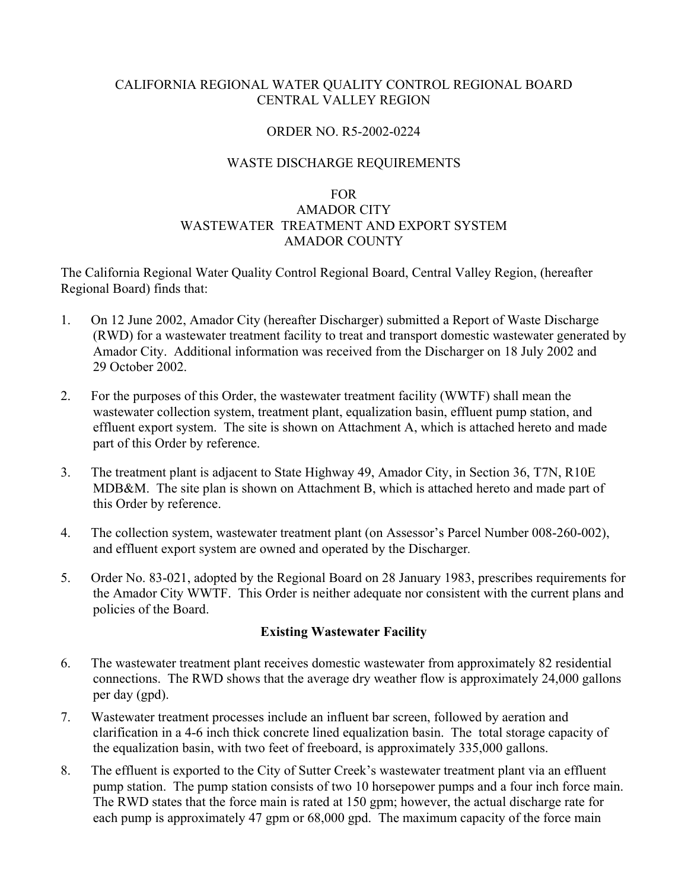## CALIFORNIA REGIONAL WATER QUALITY CONTROL REGIONAL BOARD CENTRAL VALLEY REGION

## ORDER NO. R5-2002-0224

## WASTE DISCHARGE REQUIREMENTS

#### FOR

# AMADOR CITY WASTEWATER TREATMENT AND EXPORT SYSTEM AMADOR COUNTY

The California Regional Water Quality Control Regional Board, Central Valley Region, (hereafter Regional Board) finds that:

- 1. On 12 June 2002, Amador City (hereafter Discharger) submitted a Report of Waste Discharge (RWD) for a wastewater treatment facility to treat and transport domestic wastewater generated by Amador City. Additional information was received from the Discharger on 18 July 2002 and 29 October 2002.
- 2. For the purposes of this Order, the wastewater treatment facility (WWTF) shall mean the wastewater collection system, treatment plant, equalization basin, effluent pump station, and effluent export system. The site is shown on Attachment A, which is attached hereto and made part of this Order by reference.
- 3. The treatment plant is adjacent to State Highway 49, Amador City, in Section 36, T7N, R10E MDB&M. The site plan is shown on Attachment B, which is attached hereto and made part of this Order by reference.
- 4. The collection system, wastewater treatment plant (on Assessor's Parcel Number 008-260-002), and effluent export system are owned and operated by the Discharger*.*
- 5. Order No. 83-021, adopted by the Regional Board on 28 January 1983, prescribes requirements for the Amador City WWTF. This Order is neither adequate nor consistent with the current plans and policies of the Board.

## **Existing Wastewater Facility**

- 6. The wastewater treatment plant receives domestic wastewater from approximately 82 residential connections. The RWD shows that the average dry weather flow is approximately 24,000 gallons per day (gpd).
- 7. Wastewater treatment processes include an influent bar screen, followed by aeration and clarification in a 4-6 inch thick concrete lined equalization basin. The total storage capacity of the equalization basin, with two feet of freeboard, is approximately 335,000 gallons.
- 8. The effluent is exported to the City of Sutter Creek's wastewater treatment plant via an effluent pump station. The pump station consists of two 10 horsepower pumps and a four inch force main. The RWD states that the force main is rated at 150 gpm; however, the actual discharge rate for each pump is approximately 47 gpm or 68,000 gpd. The maximum capacity of the force main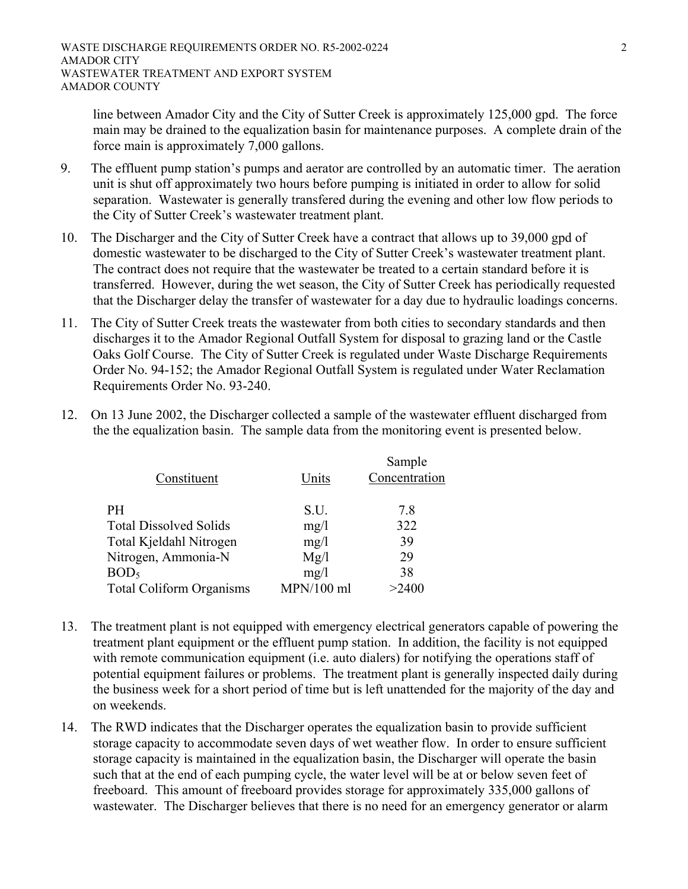line between Amador City and the City of Sutter Creek is approximately 125,000 gpd. The force main may be drained to the equalization basin for maintenance purposes. A complete drain of the force main is approximately 7,000 gallons.

- 9. The effluent pump station's pumps and aerator are controlled by an automatic timer. The aeration unit is shut off approximately two hours before pumping is initiated in order to allow for solid separation. Wastewater is generally transfered during the evening and other low flow periods to the City of Sutter Creek's wastewater treatment plant.
- 10. The Discharger and the City of Sutter Creek have a contract that allows up to 39,000 gpd of domestic wastewater to be discharged to the City of Sutter Creek's wastewater treatment plant. The contract does not require that the wastewater be treated to a certain standard before it is transferred. However, during the wet season, the City of Sutter Creek has periodically requested that the Discharger delay the transfer of wastewater for a day due to hydraulic loadings concerns.
- 11. The City of Sutter Creek treats the wastewater from both cities to secondary standards and then discharges it to the Amador Regional Outfall System for disposal to grazing land or the Castle Oaks Golf Course. The City of Sutter Creek is regulated under Waste Discharge Requirements Order No. 94-152; the Amador Regional Outfall System is regulated under Water Reclamation Requirements Order No. 93-240.
- 12. On 13 June 2002, the Discharger collected a sample of the wastewater effluent discharged from the the equalization basin. The sample data from the monitoring event is presented below.

|            | Sample        |
|------------|---------------|
| Units      | Concentration |
|            |               |
| S.U.       | 7.8           |
| mg/l       | 322           |
| mg/1       | 39            |
| Mg/l       | 29            |
| mg/1       | 38            |
| MPN/100 ml | >2400         |
|            |               |

- 13. The treatment plant is not equipped with emergency electrical generators capable of powering the treatment plant equipment or the effluent pump station. In addition, the facility is not equipped with remote communication equipment (i.e. auto dialers) for notifying the operations staff of potential equipment failures or problems. The treatment plant is generally inspected daily during the business week for a short period of time but is left unattended for the majority of the day and on weekends.
- 14. The RWD indicates that the Discharger operates the equalization basin to provide sufficient storage capacity to accommodate seven days of wet weather flow. In order to ensure sufficient storage capacity is maintained in the equalization basin, the Discharger will operate the basin such that at the end of each pumping cycle, the water level will be at or below seven feet of freeboard. This amount of freeboard provides storage for approximately 335,000 gallons of wastewater. The Discharger believes that there is no need for an emergency generator or alarm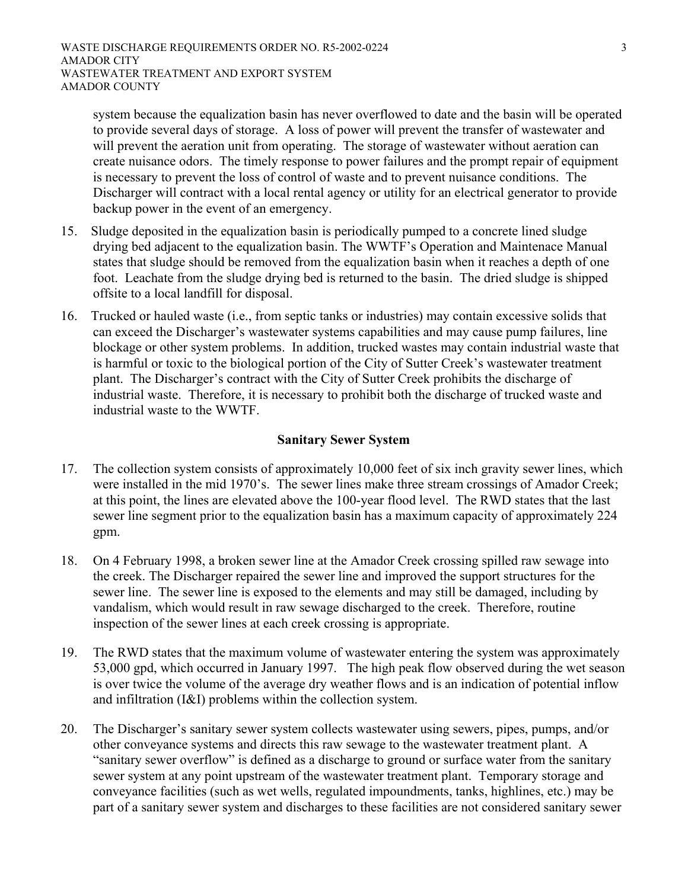system because the equalization basin has never overflowed to date and the basin will be operated to provide several days of storage. A loss of power will prevent the transfer of wastewater and will prevent the aeration unit from operating. The storage of wastewater without aeration can create nuisance odors. The timely response to power failures and the prompt repair of equipment is necessary to prevent the loss of control of waste and to prevent nuisance conditions. The Discharger will contract with a local rental agency or utility for an electrical generator to provide backup power in the event of an emergency.

- 15. Sludge deposited in the equalization basin is periodically pumped to a concrete lined sludge drying bed adjacent to the equalization basin. The WWTF's Operation and Maintenace Manual states that sludge should be removed from the equalization basin when it reaches a depth of one foot. Leachate from the sludge drying bed is returned to the basin. The dried sludge is shipped offsite to a local landfill for disposal.
- 16. Trucked or hauled waste (i.e., from septic tanks or industries) may contain excessive solids that can exceed the Discharger's wastewater systems capabilities and may cause pump failures, line blockage or other system problems. In addition, trucked wastes may contain industrial waste that is harmful or toxic to the biological portion of the City of Sutter Creek's wastewater treatment plant. The Discharger's contract with the City of Sutter Creek prohibits the discharge of industrial waste. Therefore, it is necessary to prohibit both the discharge of trucked waste and industrial waste to the WWTF.

## **Sanitary Sewer System**

- 17. The collection system consists of approximately 10,000 feet of six inch gravity sewer lines, which were installed in the mid 1970's. The sewer lines make three stream crossings of Amador Creek; at this point, the lines are elevated above the 100-year flood level. The RWD states that the last sewer line segment prior to the equalization basin has a maximum capacity of approximately 224 gpm.
- 18. On 4 February 1998, a broken sewer line at the Amador Creek crossing spilled raw sewage into the creek. The Discharger repaired the sewer line and improved the support structures for the sewer line. The sewer line is exposed to the elements and may still be damaged, including by vandalism, which would result in raw sewage discharged to the creek. Therefore, routine inspection of the sewer lines at each creek crossing is appropriate.
- 19. The RWD states that the maximum volume of wastewater entering the system was approximately 53,000 gpd, which occurred in January 1997. The high peak flow observed during the wet season is over twice the volume of the average dry weather flows and is an indication of potential inflow and infiltration (I&I) problems within the collection system.
- 20. The Discharger's sanitary sewer system collects wastewater using sewers, pipes, pumps, and/or other conveyance systems and directs this raw sewage to the wastewater treatment plant. A "sanitary sewer overflow" is defined as a discharge to ground or surface water from the sanitary" sewer system at any point upstream of the wastewater treatment plant. Temporary storage and conveyance facilities (such as wet wells, regulated impoundments, tanks, highlines, etc.) may be part of a sanitary sewer system and discharges to these facilities are not considered sanitary sewer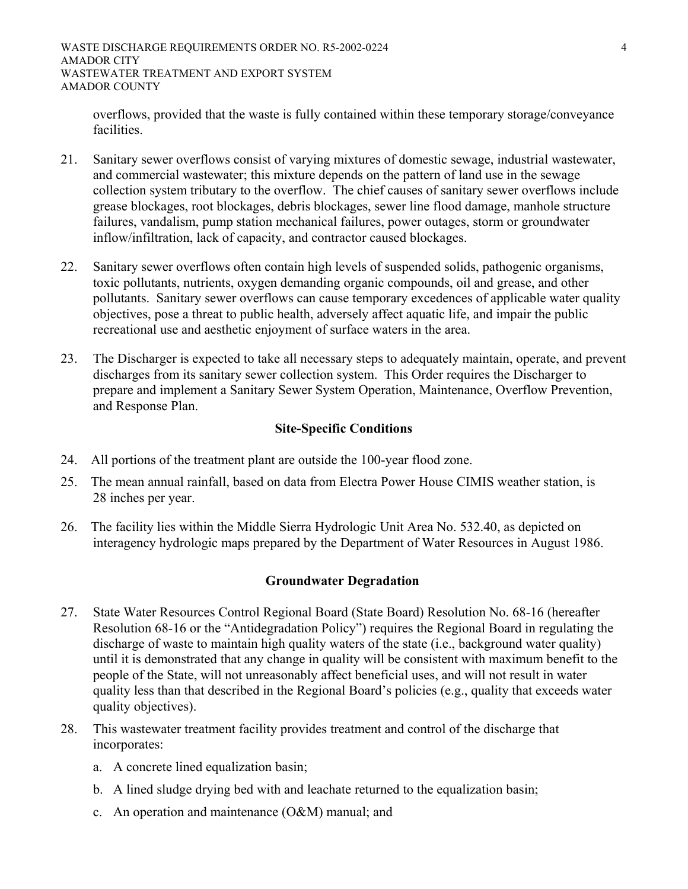overflows, provided that the waste is fully contained within these temporary storage/conveyance facilities.

- 21. Sanitary sewer overflows consist of varying mixtures of domestic sewage, industrial wastewater, and commercial wastewater; this mixture depends on the pattern of land use in the sewage collection system tributary to the overflow. The chief causes of sanitary sewer overflows include grease blockages, root blockages, debris blockages, sewer line flood damage, manhole structure failures, vandalism, pump station mechanical failures, power outages, storm or groundwater inflow/infiltration, lack of capacity, and contractor caused blockages.
- 22. Sanitary sewer overflows often contain high levels of suspended solids, pathogenic organisms, toxic pollutants, nutrients, oxygen demanding organic compounds, oil and grease, and other pollutants. Sanitary sewer overflows can cause temporary excedences of applicable water quality objectives, pose a threat to public health, adversely affect aquatic life, and impair the public recreational use and aesthetic enjoyment of surface waters in the area.
- 23. The Discharger is expected to take all necessary steps to adequately maintain, operate, and prevent discharges from its sanitary sewer collection system. This Order requires the Discharger to prepare and implement a Sanitary Sewer System Operation, Maintenance, Overflow Prevention, and Response Plan.

# **Site-Specific Conditions**

- 24. All portions of the treatment plant are outside the 100-year flood zone.
- 25. The mean annual rainfall, based on data from Electra Power House CIMIS weather station, is 28 inches per year.
- 26. The facility lies within the Middle Sierra Hydrologic Unit Area No. 532.40, as depicted on interagency hydrologic maps prepared by the Department of Water Resources in August 1986.

# **Groundwater Degradation**

- 27. State Water Resources Control Regional Board (State Board) Resolution No. 68-16 (hereafter Resolution 68-16 or the "Antidegradation Policy") requires the Regional Board in regulating the discharge of waste to maintain high quality waters of the state (i.e., background water quality) until it is demonstrated that any change in quality will be consistent with maximum benefit to the people of the State, will not unreasonably affect beneficial uses, and will not result in water quality less than that described in the Regional Board's policies (e.g., quality that exceeds water quality objectives).
- 28. This wastewater treatment facility provides treatment and control of the discharge that incorporates:
	- a. A concrete lined equalization basin;
	- b. A lined sludge drying bed with and leachate returned to the equalization basin;
	- c. An operation and maintenance (O&M) manual; and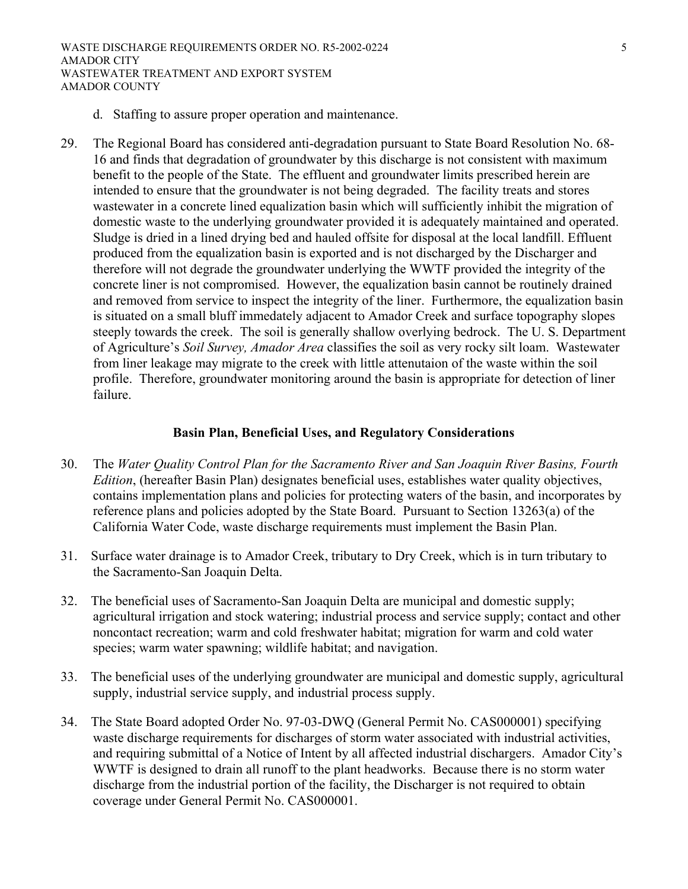- d. Staffing to assure proper operation and maintenance.
- 29. The Regional Board has considered anti-degradation pursuant to State Board Resolution No. 68- 16 and finds that degradation of groundwater by this discharge is not consistent with maximum benefit to the people of the State. The effluent and groundwater limits prescribed herein are intended to ensure that the groundwater is not being degraded. The facility treats and stores wastewater in a concrete lined equalization basin which will sufficiently inhibit the migration of domestic waste to the underlying groundwater provided it is adequately maintained and operated. Sludge is dried in a lined drying bed and hauled offsite for disposal at the local landfill. Effluent produced from the equalization basin is exported and is not discharged by the Discharger and therefore will not degrade the groundwater underlying the WWTF provided the integrity of the concrete liner is not compromised. However, the equalization basin cannot be routinely drained and removed from service to inspect the integrity of the liner. Furthermore, the equalization basin is situated on a small bluff immedately adjacent to Amador Creek and surface topography slopes steeply towards the creek. The soil is generally shallow overlying bedrock. The U. S. Department of Agriculture's *Soil Survey, Amador Area* classifies the soil as very rocky silt loam. Wastewater from liner leakage may migrate to the creek with little attenutaion of the waste within the soil profile. Therefore, groundwater monitoring around the basin is appropriate for detection of liner failure.

## **Basin Plan, Beneficial Uses, and Regulatory Considerations**

- 30. The *Water Quality Control Plan for the Sacramento River and San Joaquin River Basins, Fourth Edition*, (hereafter Basin Plan) designates beneficial uses, establishes water quality objectives, contains implementation plans and policies for protecting waters of the basin, and incorporates by reference plans and policies adopted by the State Board. Pursuant to Section 13263(a) of the California Water Code, waste discharge requirements must implement the Basin Plan.
- 31. Surface water drainage is to Amador Creek, tributary to Dry Creek, which is in turn tributary to the Sacramento-San Joaquin Delta.
- 32. The beneficial uses of Sacramento-San Joaquin Delta are municipal and domestic supply; agricultural irrigation and stock watering; industrial process and service supply; contact and other noncontact recreation; warm and cold freshwater habitat; migration for warm and cold water species; warm water spawning; wildlife habitat; and navigation.
- 33. The beneficial uses of the underlying groundwater are municipal and domestic supply, agricultural supply, industrial service supply, and industrial process supply.
- 34. The State Board adopted Order No. 97-03-DWQ (General Permit No. CAS000001) specifying waste discharge requirements for discharges of storm water associated with industrial activities, and requiring submittal of a Notice of Intent by all affected industrial dischargers. Amador City's WWTF is designed to drain all runoff to the plant headworks. Because there is no storm water discharge from the industrial portion of the facility, the Discharger is not required to obtain coverage under General Permit No. CAS000001.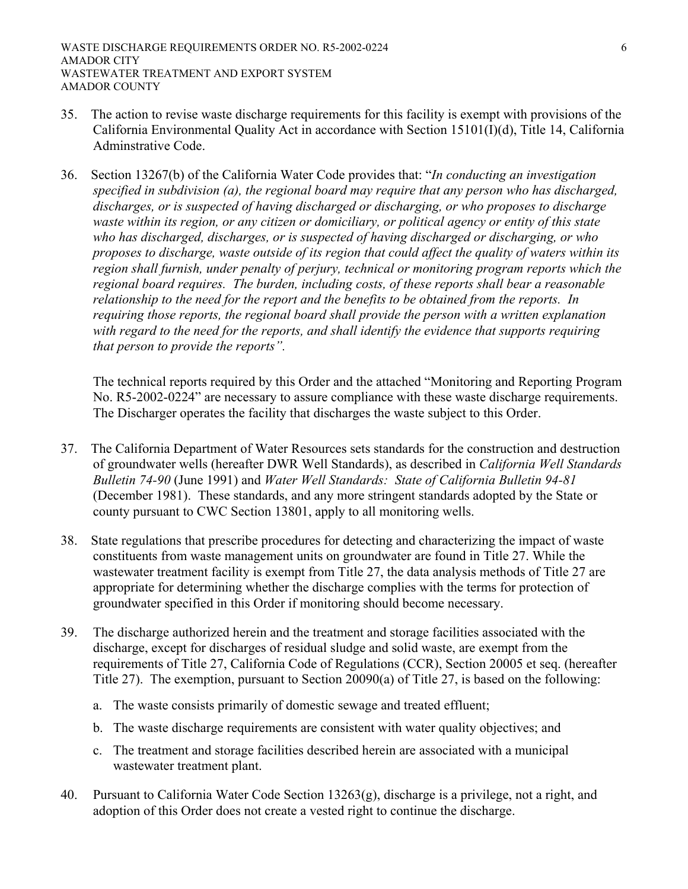- 35. The action to revise waste discharge requirements for this facility is exempt with provisions of the California Environmental Quality Act in accordance with Section 15101(I)(d), Title 14, California Adminstrative Code.
- 36. Section 13267(b) of the California Water Code provides that: "*In conducting an investigation specified in subdivision (a), the regional board may require that any person who has discharged, discharges, or is suspected of having discharged or discharging, or who proposes to discharge waste within its region, or any citizen or domiciliary, or political agency or entity of this state who has discharged, discharges, or is suspected of having discharged or discharging, or who proposes to discharge, waste outside of its region that could affect the quality of waters within its region shall furnish, under penalty of perjury, technical or monitoring program reports which the regional board requires. The burden, including costs, of these reports shall bear a reasonable relationship to the need for the report and the benefits to be obtained from the reports. In requiring those reports, the regional board shall provide the person with a written explanation with regard to the need for the reports, and shall identify the evidence that supports requiring that person to provide the reports".*

The technical reports required by this Order and the attached "Monitoring and Reporting Program No. R5-2002-0224" are necessary to assure compliance with these waste discharge requirements. The Discharger operates the facility that discharges the waste subject to this Order.

- 37. The California Department of Water Resources sets standards for the construction and destruction of groundwater wells (hereafter DWR Well Standards), as described in *California Well Standards Bulletin 74-90* (June 1991) and *Water Well Standards: State of California Bulletin 94-81* (December 1981). These standards, and any more stringent standards adopted by the State or county pursuant to CWC Section 13801, apply to all monitoring wells.
- 38. State regulations that prescribe procedures for detecting and characterizing the impact of waste constituents from waste management units on groundwater are found in Title 27. While the wastewater treatment facility is exempt from Title 27, the data analysis methods of Title 27 are appropriate for determining whether the discharge complies with the terms for protection of groundwater specified in this Order if monitoring should become necessary.
- 39. The discharge authorized herein and the treatment and storage facilities associated with the discharge, except for discharges of residual sludge and solid waste, are exempt from the requirements of Title 27, California Code of Regulations (CCR), Section 20005 et seq. (hereafter Title 27). The exemption, pursuant to Section 20090(a) of Title 27, is based on the following:
	- a. The waste consists primarily of domestic sewage and treated effluent;
	- b. The waste discharge requirements are consistent with water quality objectives; and
	- c. The treatment and storage facilities described herein are associated with a municipal wastewater treatment plant.
- 40. Pursuant to California Water Code Section 13263(g), discharge is a privilege, not a right, and adoption of this Order does not create a vested right to continue the discharge.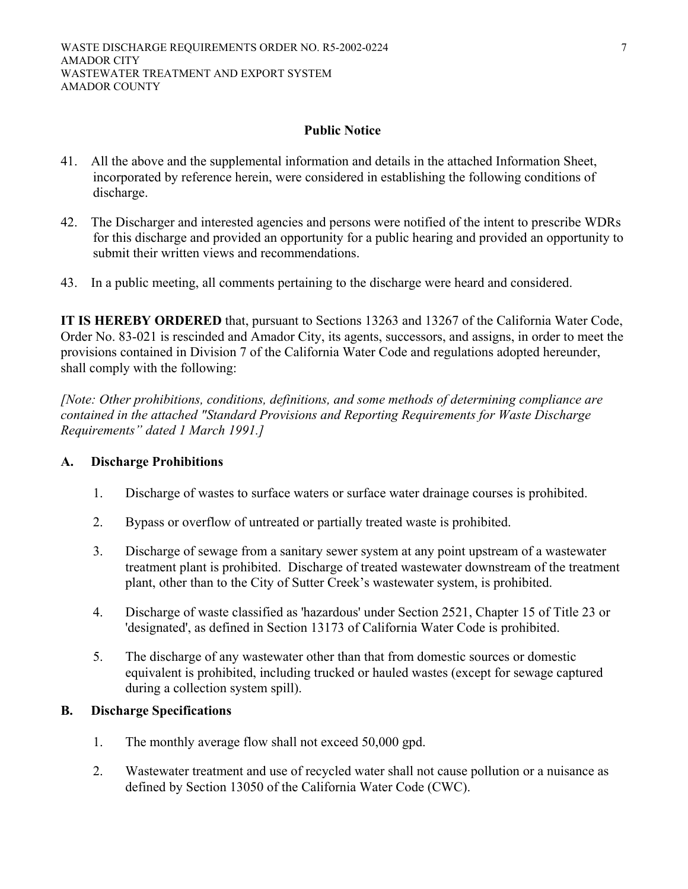## **Public Notice**

- 41. All the above and the supplemental information and details in the attached Information Sheet, incorporated by reference herein, were considered in establishing the following conditions of discharge.
- 42. The Discharger and interested agencies and persons were notified of the intent to prescribe WDRs for this discharge and provided an opportunity for a public hearing and provided an opportunity to submit their written views and recommendations.
- 43. In a public meeting, all comments pertaining to the discharge were heard and considered.

**IT IS HEREBY ORDERED** that, pursuant to Sections 13263 and 13267 of the California Water Code, Order No. 83-021 is rescinded and Amador City, its agents, successors, and assigns, in order to meet the provisions contained in Division 7 of the California Water Code and regulations adopted hereunder, shall comply with the following:

*[Note: Other prohibitions, conditions, definitions, and some methods of determining compliance are contained in the attached "Standard Provisions and Reporting Requirements for Waste Discharge Requirements" dated 1 March 1991.]*

#### **A. Discharge Prohibitions**

- 1. Discharge of wastes to surface waters or surface water drainage courses is prohibited.
- 2. Bypass or overflow of untreated or partially treated waste is prohibited.
- 3. Discharge of sewage from a sanitary sewer system at any point upstream of a wastewater treatment plant is prohibited. Discharge of treated wastewater downstream of the treatment plant, other than to the City of Sutter Creek's wastewater system, is prohibited.
- 4. Discharge of waste classified as 'hazardous' under Section 2521, Chapter 15 of Title 23 or 'designated', as defined in Section 13173 of California Water Code is prohibited.
- 5. The discharge of any wastewater other than that from domestic sources or domestic equivalent is prohibited, including trucked or hauled wastes (except for sewage captured during a collection system spill).

## **B. Discharge Specifications**

- 1. The monthly average flow shall not exceed 50,000 gpd.
- 2. Wastewater treatment and use of recycled water shall not cause pollution or a nuisance as defined by Section 13050 of the California Water Code (CWC).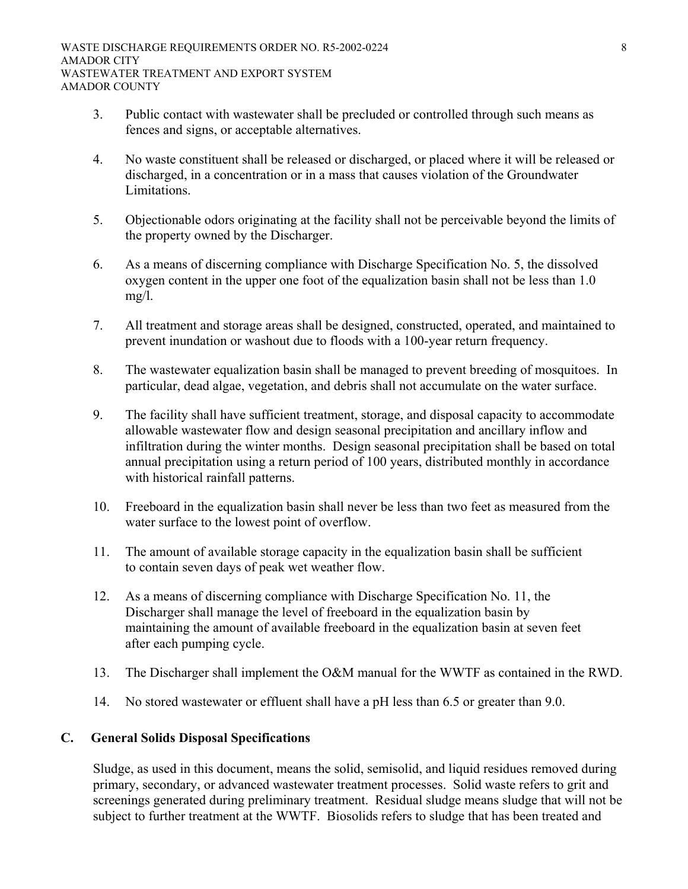- 3. Public contact with wastewater shall be precluded or controlled through such means as fences and signs, or acceptable alternatives.
- 4. No waste constituent shall be released or discharged, or placed where it will be released or discharged, in a concentration or in a mass that causes violation of the Groundwater Limitations.
- 5. Objectionable odors originating at the facility shall not be perceivable beyond the limits of the property owned by the Discharger.
- 6. As a means of discerning compliance with Discharge Specification No. 5, the dissolved oxygen content in the upper one foot of the equalization basin shall not be less than 1.0 mg/l.
- 7. All treatment and storage areas shall be designed, constructed, operated, and maintained to prevent inundation or washout due to floods with a 100-year return frequency.
- 8. The wastewater equalization basin shall be managed to prevent breeding of mosquitoes. In particular, dead algae, vegetation, and debris shall not accumulate on the water surface.
- 9. The facility shall have sufficient treatment, storage, and disposal capacity to accommodate allowable wastewater flow and design seasonal precipitation and ancillary inflow and infiltration during the winter months. Design seasonal precipitation shall be based on total annual precipitation using a return period of 100 years, distributed monthly in accordance with historical rainfall patterns.
- 10. Freeboard in the equalization basin shall never be less than two feet as measured from the water surface to the lowest point of overflow.
- 11. The amount of available storage capacity in the equalization basin shall be sufficient to contain seven days of peak wet weather flow.
- 12. As a means of discerning compliance with Discharge Specification No. 11, the Discharger shall manage the level of freeboard in the equalization basin by maintaining the amount of available freeboard in the equalization basin at seven feet after each pumping cycle.
- 13. The Discharger shall implement the O&M manual for the WWTF as contained in the RWD.
- 14. No stored wastewater or effluent shall have a pH less than 6.5 or greater than 9.0.

# **C. General Solids Disposal Specifications**

Sludge, as used in this document, means the solid, semisolid, and liquid residues removed during primary, secondary, or advanced wastewater treatment processes. Solid waste refers to grit and screenings generated during preliminary treatment. Residual sludge means sludge that will not be subject to further treatment at the WWTF. Biosolids refers to sludge that has been treated and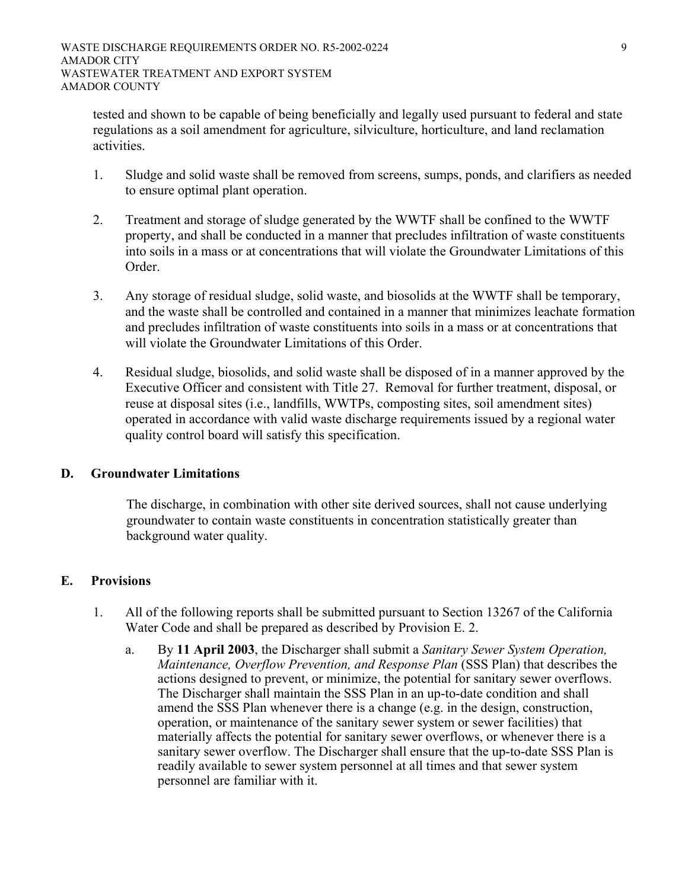tested and shown to be capable of being beneficially and legally used pursuant to federal and state regulations as a soil amendment for agriculture, silviculture, horticulture, and land reclamation activities.

- 1. Sludge and solid waste shall be removed from screens, sumps, ponds, and clarifiers as needed to ensure optimal plant operation.
- 2. Treatment and storage of sludge generated by the WWTF shall be confined to the WWTF property, and shall be conducted in a manner that precludes infiltration of waste constituents into soils in a mass or at concentrations that will violate the Groundwater Limitations of this Order.
- 3. Any storage of residual sludge, solid waste, and biosolids at the WWTF shall be temporary, and the waste shall be controlled and contained in a manner that minimizes leachate formation and precludes infiltration of waste constituents into soils in a mass or at concentrations that will violate the Groundwater Limitations of this Order.
- 4. Residual sludge, biosolids, and solid waste shall be disposed of in a manner approved by the Executive Officer and consistent with Title 27. Removal for further treatment, disposal, or reuse at disposal sites (i.e., landfills, WWTPs, composting sites, soil amendment sites) operated in accordance with valid waste discharge requirements issued by a regional water quality control board will satisfy this specification.

# **D. Groundwater Limitations**

The discharge, in combination with other site derived sources, shall not cause underlying groundwater to contain waste constituents in concentration statistically greater than background water quality.

# **E. Provisions**

- 1. All of the following reports shall be submitted pursuant to Section 13267 of the California Water Code and shall be prepared as described by Provision E. 2.
	- a. By **11 April 2003**, the Discharger shall submit a *Sanitary Sewer System Operation, Maintenance, Overflow Prevention, and Response Plan* (SSS Plan) that describes the actions designed to prevent, or minimize, the potential for sanitary sewer overflows. The Discharger shall maintain the SSS Plan in an up-to-date condition and shall amend the SSS Plan whenever there is a change (e.g. in the design, construction, operation, or maintenance of the sanitary sewer system or sewer facilities) that materially affects the potential for sanitary sewer overflows, or whenever there is a sanitary sewer overflow. The Discharger shall ensure that the up-to-date SSS Plan is readily available to sewer system personnel at all times and that sewer system personnel are familiar with it.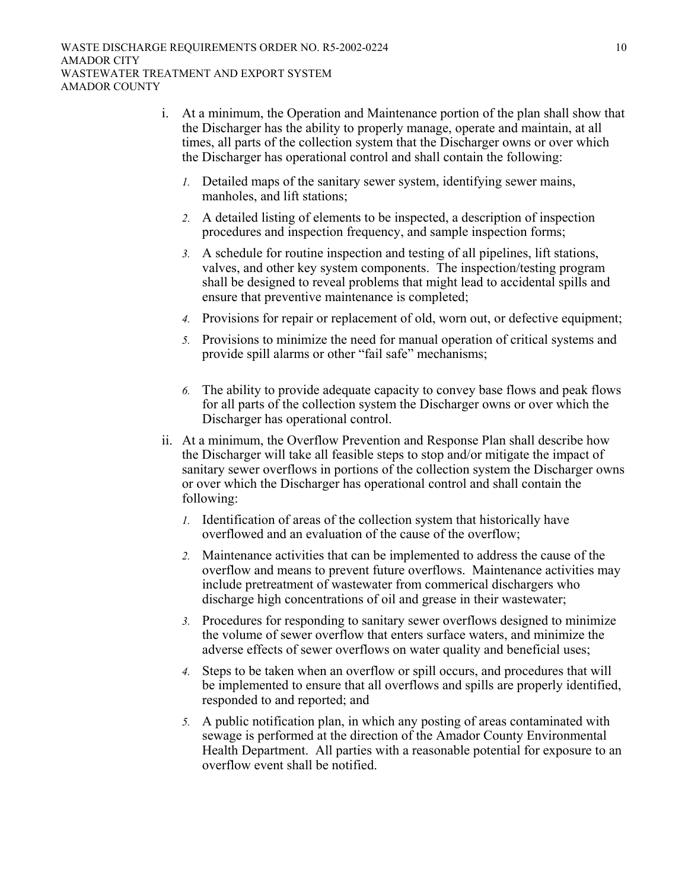- i. At a minimum, the Operation and Maintenance portion of the plan shall show that the Discharger has the ability to properly manage, operate and maintain, at all times, all parts of the collection system that the Discharger owns or over which the Discharger has operational control and shall contain the following:
	- *1.* Detailed maps of the sanitary sewer system, identifying sewer mains, manholes, and lift stations;
	- *2.* A detailed listing of elements to be inspected, a description of inspection procedures and inspection frequency, and sample inspection forms;
	- *3.* A schedule for routine inspection and testing of all pipelines, lift stations, valves, and other key system components. The inspection/testing program shall be designed to reveal problems that might lead to accidental spills and ensure that preventive maintenance is completed;
	- *4.* Provisions for repair or replacement of old, worn out, or defective equipment;
	- *5.* Provisions to minimize the need for manual operation of critical systems and provide spill alarms or other "fail safe" mechanisms;
	- *6.* The ability to provide adequate capacity to convey base flows and peak flows for all parts of the collection system the Discharger owns or over which the Discharger has operational control.
- ii. At a minimum, the Overflow Prevention and Response Plan shall describe how the Discharger will take all feasible steps to stop and/or mitigate the impact of sanitary sewer overflows in portions of the collection system the Discharger owns or over which the Discharger has operational control and shall contain the following:
	- *1.* Identification of areas of the collection system that historically have overflowed and an evaluation of the cause of the overflow;
	- *2.* Maintenance activities that can be implemented to address the cause of the overflow and means to prevent future overflows. Maintenance activities may include pretreatment of wastewater from commerical dischargers who discharge high concentrations of oil and grease in their wastewater;
	- *3.* Procedures for responding to sanitary sewer overflows designed to minimize the volume of sewer overflow that enters surface waters, and minimize the adverse effects of sewer overflows on water quality and beneficial uses;
	- *4.* Steps to be taken when an overflow or spill occurs, and procedures that will be implemented to ensure that all overflows and spills are properly identified, responded to and reported; and
	- *5.* A public notification plan, in which any posting of areas contaminated with sewage is performed at the direction of the Amador County Environmental Health Department. All parties with a reasonable potential for exposure to an overflow event shall be notified.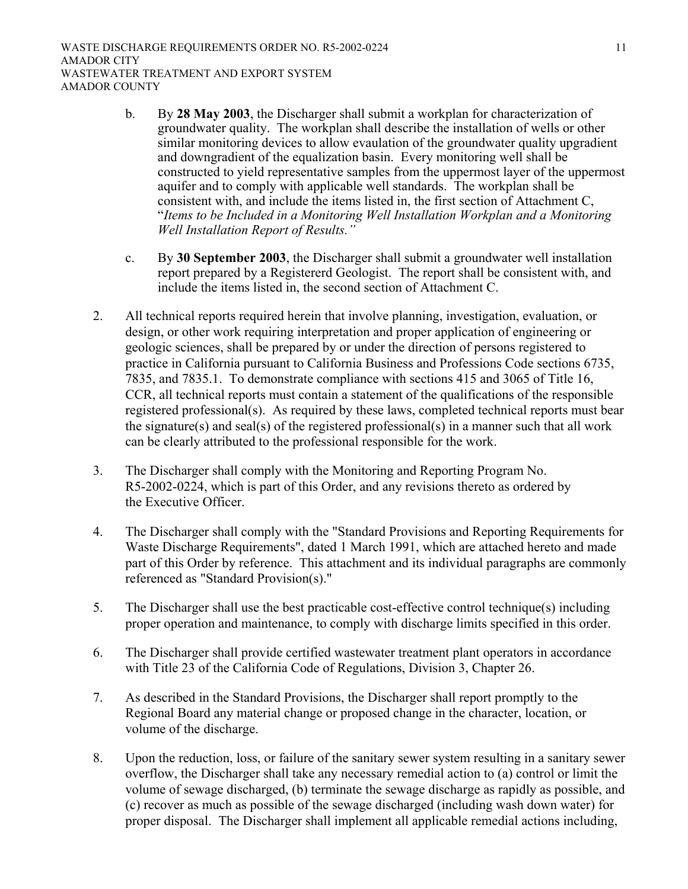- b. By **28 May 2003**, the Discharger shall submit a workplan for characterization of groundwater quality. The workplan shall describe the installation of wells or other similar monitoring devices to allow evaulation of the groundwater quality upgradient and downgradient of the equalization basin. Every monitoring well shall be constructed to yield representative samples from the uppermost layer of the uppermost aquifer and to comply with applicable well standards. The workplan shall be consistent with, and include the items listed in, the first section of Attachment C, "*Items to be Included in a Monitoring Well Installation Workplan and a Monitoring Well Installation Report of Results."*
- c. By **30 September 2003**, the Discharger shall submit a groundwater well installation report prepared by a Registererd Geologist. The report shall be consistent with, and include the items listed in, the second section of Attachment C.
- 2. All technical reports required herein that involve planning, investigation, evaluation, or design, or other work requiring interpretation and proper application of engineering or geologic sciences, shall be prepared by or under the direction of persons registered to practice in California pursuant to California Business and Professions Code sections 6735, 7835, and 7835.1. To demonstrate compliance with sections 415 and 3065 of Title 16, CCR, all technical reports must contain a statement of the qualifications of the responsible registered professional(s). As required by these laws, completed technical reports must bear the signature(s) and seal(s) of the registered professional(s) in a manner such that all work can be clearly attributed to the professional responsible for the work.
- 3. The Discharger shall comply with the Monitoring and Reporting Program No. R5-2002-0224, which is part of this Order, and any revisions thereto as ordered by the Executive Officer.
- 4. The Discharger shall comply with the "Standard Provisions and Reporting Requirements for Waste Discharge Requirements", dated 1 March 1991, which are attached hereto and made part of this Order by reference. This attachment and its individual paragraphs are commonly referenced as "Standard Provision(s)."
- 5. The Discharger shall use the best practicable cost-effective control technique(s) including proper operation and maintenance, to comply with discharge limits specified in this order.
- 6. The Discharger shall provide certified wastewater treatment plant operators in accordance with Title 23 of the California Code of Regulations, Division 3, Chapter 26.
- 7. As described in the Standard Provisions, the Discharger shall report promptly to the Regional Board any material change or proposed change in the character, location, or volume of the discharge.
- 8. Upon the reduction, loss, or failure of the sanitary sewer system resulting in a sanitary sewer overflow, the Discharger shall take any necessary remedial action to (a) control or limit the volume of sewage discharged, (b) terminate the sewage discharge as rapidly as possible, and (c) recover as much as possible of the sewage discharged (including wash down water) for proper disposal. The Discharger shall implement all applicable remedial actions including,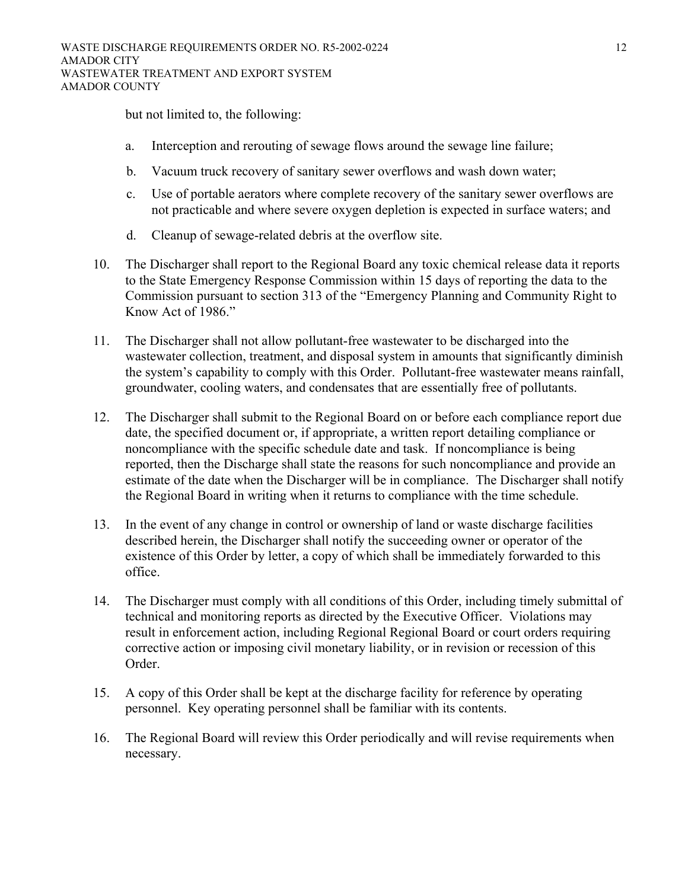but not limited to, the following:

- a. Interception and rerouting of sewage flows around the sewage line failure;
- b. Vacuum truck recovery of sanitary sewer overflows and wash down water;
- c. Use of portable aerators where complete recovery of the sanitary sewer overflows are not practicable and where severe oxygen depletion is expected in surface waters; and
- d. Cleanup of sewage-related debris at the overflow site.
- 10. The Discharger shall report to the Regional Board any toxic chemical release data it reports to the State Emergency Response Commission within 15 days of reporting the data to the Commission pursuant to section 313 of the "Emergency Planning and Community Right to Know Act of 1986."
- 11. The Discharger shall not allow pollutant-free wastewater to be discharged into the wastewater collection, treatment, and disposal system in amounts that significantly diminish the system's capability to comply with this Order. Pollutant-free wastewater means rainfall, groundwater, cooling waters, and condensates that are essentially free of pollutants.
- 12. The Discharger shall submit to the Regional Board on or before each compliance report due date, the specified document or, if appropriate, a written report detailing compliance or noncompliance with the specific schedule date and task. If noncompliance is being reported, then the Discharge shall state the reasons for such noncompliance and provide an estimate of the date when the Discharger will be in compliance. The Discharger shall notify the Regional Board in writing when it returns to compliance with the time schedule.
- 13. In the event of any change in control or ownership of land or waste discharge facilities described herein, the Discharger shall notify the succeeding owner or operator of the existence of this Order by letter, a copy of which shall be immediately forwarded to this office.
- 14. The Discharger must comply with all conditions of this Order, including timely submittal of technical and monitoring reports as directed by the Executive Officer. Violations may result in enforcement action, including Regional Regional Board or court orders requiring corrective action or imposing civil monetary liability, or in revision or recession of this Order.
- 15. A copy of this Order shall be kept at the discharge facility for reference by operating personnel. Key operating personnel shall be familiar with its contents.
- 16. The Regional Board will review this Order periodically and will revise requirements when necessary.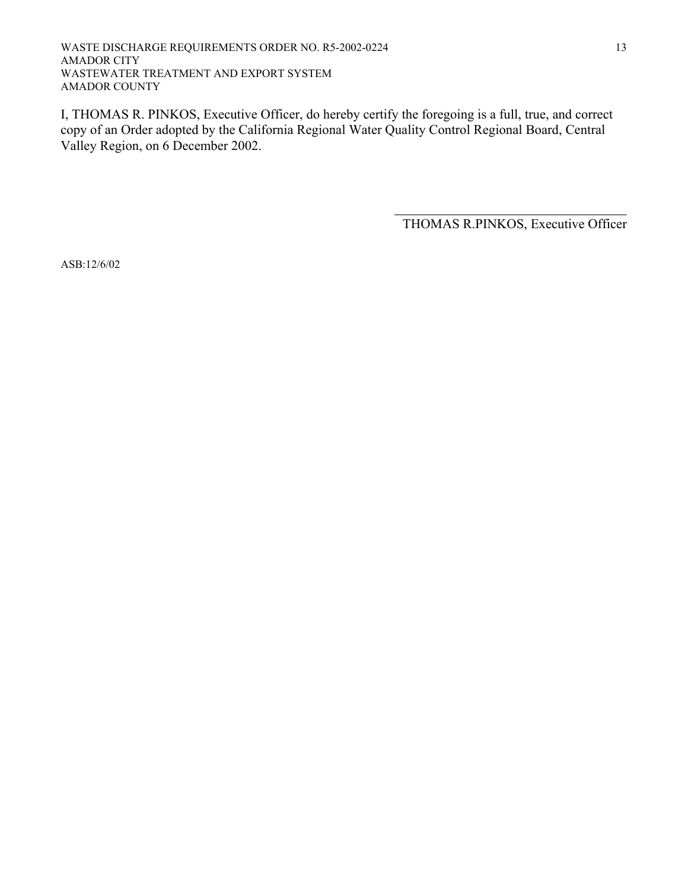WASTE DISCHARGE REQUIREMENTS ORDER NO. R5-2002-0224 AMADOR CITY WASTEWATER TREATMENT AND EXPORT SYSTEM AMADOR COUNTY

I, THOMAS R. PINKOS, Executive Officer, do hereby certify the foregoing is a full, true, and correct copy of an Order adopted by the California Regional Water Quality Control Regional Board, Central Valley Region, on 6 December 2002.

 $\overline{a}$ 

THOMAS R.PINKOS, Executive Officer

ASB:12/6/02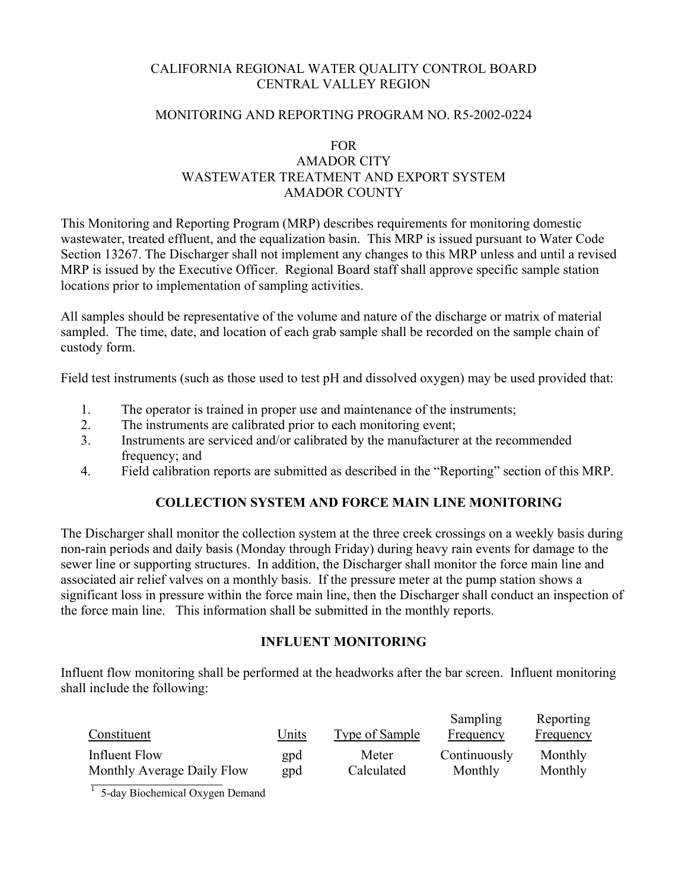# CALIFORNIA REGIONAL WATER QUALITY CONTROL BOARD CENTRAL VALLEY REGION

## MONITORING AND REPORTING PROGRAM NO. R5-2002-0224

## FOR AMADOR CITY WASTEWATER TREATMENT AND EXPORT SYSTEM AMADOR COUNTY

This Monitoring and Reporting Program (MRP) describes requirements for monitoring domestic wastewater, treated effluent, and the equalization basin. This MRP is issued pursuant to Water Code Section 13267. The Discharger shall not implement any changes to this MRP unless and until a revised MRP is issued by the Executive Officer. Regional Board staff shall approve specific sample station locations prior to implementation of sampling activities.

All samples should be representative of the volume and nature of the discharge or matrix of material sampled. The time, date, and location of each grab sample shall be recorded on the sample chain of custody form.

Field test instruments (such as those used to test pH and dissolved oxygen) may be used provided that:

- 1. The operator is trained in proper use and maintenance of the instruments;
- 2. The instruments are calibrated prior to each monitoring event;
- 3. Instruments are serviced and/or calibrated by the manufacturer at the recommended frequency; and
- 4. Field calibration reports are submitted as described in the "Reporting" section of this MRP.

# **COLLECTION SYSTEM AND FORCE MAIN LINE MONITORING**

The Discharger shall monitor the collection system at the three creek crossings on a weekly basis during non-rain periods and daily basis (Monday through Friday) during heavy rain events for damage to the sewer line or supporting structures. In addition, the Discharger shall monitor the force main line and associated air relief valves on a monthly basis. If the pressure meter at the pump station shows a significant loss in pressure within the force main line, then the Discharger shall conduct an inspection of the force main line. This information shall be submitted in the monthly reports.

## **INFLUENT MONITORING**

Influent flow monitoring shall be performed at the headworks after the bar screen. Influent monitoring shall include the following:

| Constituent                | Units | Type of Sample | Sampling<br>Frequency | Reporting<br>Frequency |
|----------------------------|-------|----------------|-----------------------|------------------------|
| Influent Flow              | gpd   | Meter          | Continuously          | Monthly                |
| Monthly Average Daily Flow | gpd   | Calculated     | Monthly               | Monthly                |

 $1$  5-day Biochemical Oxygen Demand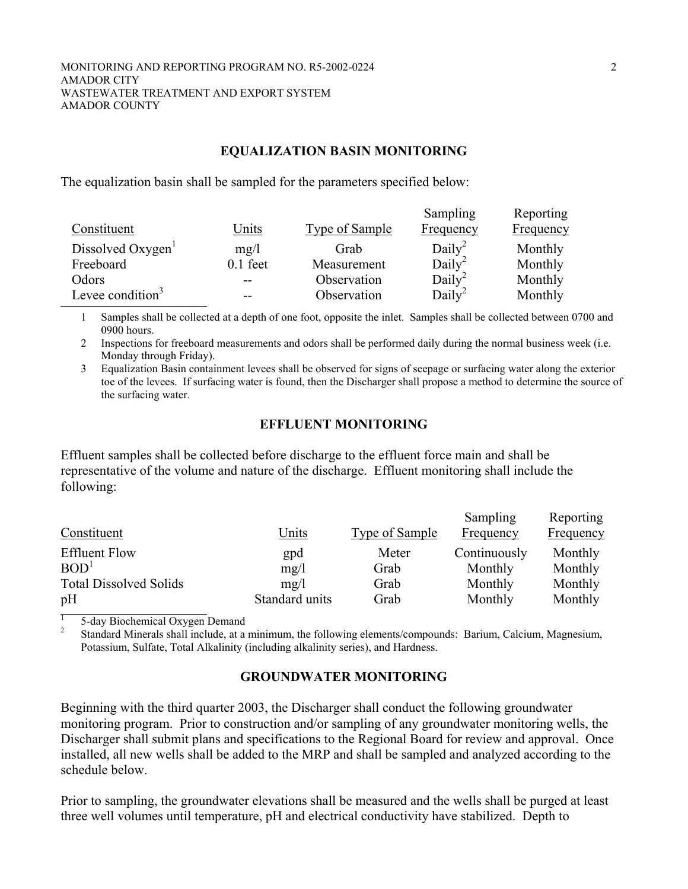#### **EQUALIZATION BASIN MONITORING**

The equalization basin shall be sampled for the parameters specified below:

|                              |              |                       | Sampling           | Reporting        |
|------------------------------|--------------|-----------------------|--------------------|------------------|
| Constituent                  | <b>Units</b> | <b>Type of Sample</b> | Frequency          | <b>Frequency</b> |
| Dissolved Oxygen             | mg/l         | Grab                  | Daily <sup>2</sup> | Monthly          |
| Freeboard                    | $0.1$ feet   | Measurement           | Daily <sup>2</sup> | Monthly          |
| Odors                        | --           | Observation           | Daily <sup>2</sup> | Monthly          |
| Levee condition <sup>3</sup> | --           | Observation           | Daily <sup>2</sup> | Monthly          |

1 Samples shall be collected at a depth of one foot, opposite the inlet. Samples shall be collected between 0700 and 0900 hours.

2 Inspections for freeboard measurements and odors shall be performed daily during the normal business week (i.e. Monday through Friday).

3 Equalization Basin containment levees shall be observed for signs of seepage or surfacing water along the exterior toe of the levees. If surfacing water is found, then the Discharger shall propose a method to determine the source of the surfacing water.

#### **EFFLUENT MONITORING**

Effluent samples shall be collected before discharge to the effluent force main and shall be representative of the volume and nature of the discharge. Effluent monitoring shall include the following:

| Constituent                              | <u>Units</u>   | Type of Sample | Sampling<br>Frequency   | Reporting<br><b>Frequency</b> |
|------------------------------------------|----------------|----------------|-------------------------|-------------------------------|
| <b>Effluent Flow</b><br>BOD <sup>1</sup> | gpd            | Meter<br>Grab  | Continuously<br>Monthly | Monthly<br>Monthly            |
| <b>Total Dissolved Solids</b>            | mg/1<br>mg/1   | Grab           | Monthly                 | Monthly                       |
| pH                                       | Standard units | Grab           | Monthly                 | Monthly                       |

1 5-day Biochemical Oxygen Demand

2 Standard Minerals shall include, at a minimum, the following elements/compounds: Barium, Calcium, Magnesium, Potassium, Sulfate, Total Alkalinity (including alkalinity series), and Hardness.

## **GROUNDWATER MONITORING**

Beginning with the third quarter 2003, the Discharger shall conduct the following groundwater monitoring program. Prior to construction and/or sampling of any groundwater monitoring wells, the Discharger shall submit plans and specifications to the Regional Board for review and approval. Once installed, all new wells shall be added to the MRP and shall be sampled and analyzed according to the schedule below.

Prior to sampling, the groundwater elevations shall be measured and the wells shall be purged at least three well volumes until temperature, pH and electrical conductivity have stabilized. Depth to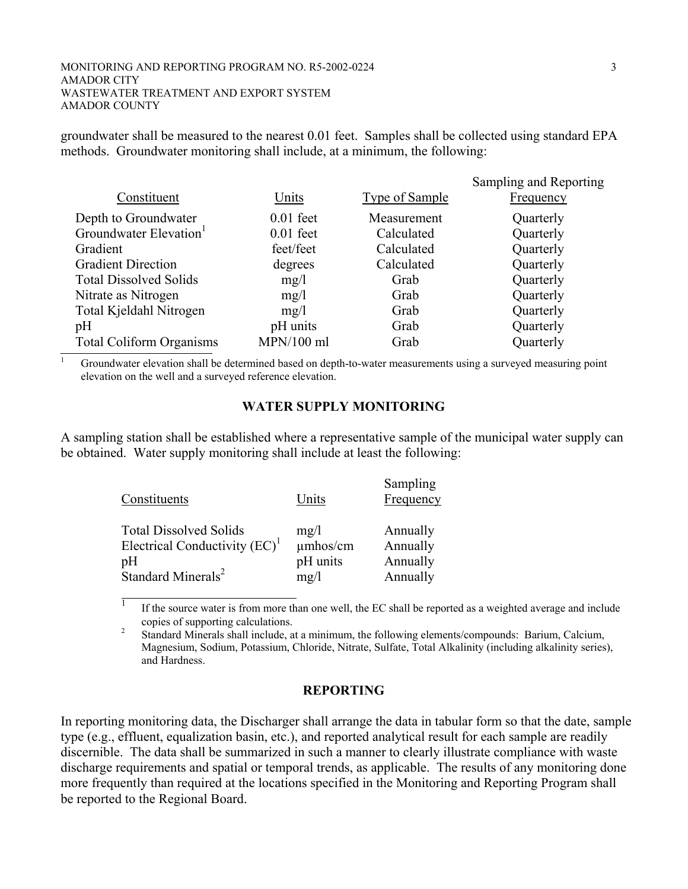#### MONITORING AND REPORTING PROGRAM NO. R5-2002-0224 3 AMADOR CITY WASTEWATER TREATMENT AND EXPORT SYSTEM AMADOR COUNTY

groundwater shall be measured to the nearest 0.01 feet. Samples shall be collected using standard EPA methods. Groundwater monitoring shall include, at a minimum, the following:

|                                    |              |                       | Sampling and Reporting |
|------------------------------------|--------------|-----------------------|------------------------|
| Constituent                        | Units        | <b>Type of Sample</b> | <b>Frequency</b>       |
| Depth to Groundwater               | $0.01$ feet  | Measurement           | Quarterly              |
| Groundwater Elevation <sup>1</sup> | $0.01$ feet  | Calculated            | Quarterly              |
| Gradient                           | feet/feet    | Calculated            | Quarterly              |
| <b>Gradient Direction</b>          | degrees      | Calculated            | Quarterly              |
| <b>Total Dissolved Solids</b>      | mg/1         | Grab                  | Quarterly              |
| Nitrate as Nitrogen                | mg/1         | Grab                  | Quarterly              |
| Total Kjeldahl Nitrogen            | mg/l         | Grab                  | Quarterly              |
| pH                                 | pH units     | Grab                  | Quarterly              |
| <b>Total Coliform Organisms</b>    | $MPN/100$ ml | Grab                  | Quarterly              |

1 Groundwater elevation shall be determined based on depth-to-water measurements using a surveyed measuring point elevation on the well and a surveyed reference elevation.

#### **WATER SUPPLY MONITORING**

A sampling station shall be established where a representative sample of the municipal water supply can be obtained. Water supply monitoring shall include at least the following:

| Constituents                       | Units    | Sampling<br>Frequency |
|------------------------------------|----------|-----------------------|
| <b>Total Dissolved Solids</b>      | mg/l     | Annually              |
| Electrical Conductivity $(EC)^{1}$ | umhos/cm | Annually              |
| pH                                 | pH units | Annually              |
| Standard Minerals <sup>2</sup>     | mg/1     | Annually              |

 $\overline{1}$  If the source water is from more than one well, the EC shall be reported as a weighted average and include copies of supporting calculations.<br><sup>2</sup> Standard Minorals shall include a

 Standard Minerals shall include, at a minimum, the following elements/compounds: Barium, Calcium, Magnesium, Sodium, Potassium, Chloride, Nitrate, Sulfate, Total Alkalinity (including alkalinity series), and Hardness.

#### **REPORTING**

In reporting monitoring data, the Discharger shall arrange the data in tabular form so that the date, sample type (e.g., effluent, equalization basin, etc.), and reported analytical result for each sample are readily discernible. The data shall be summarized in such a manner to clearly illustrate compliance with waste discharge requirements and spatial or temporal trends, as applicable. The results of any monitoring done more frequently than required at the locations specified in the Monitoring and Reporting Program shall be reported to the Regional Board.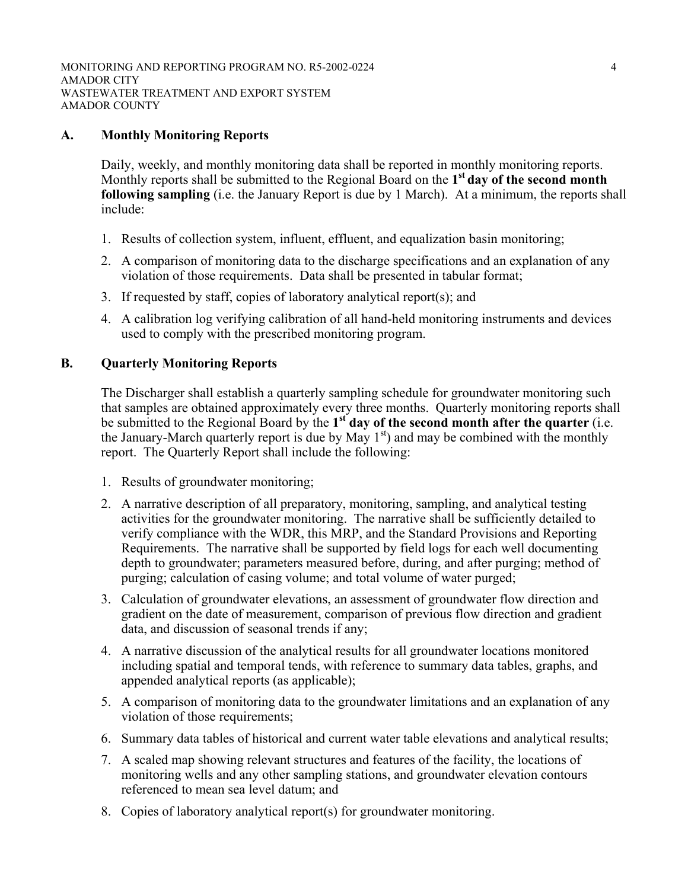## **A. Monthly Monitoring Reports**

Daily, weekly, and monthly monitoring data shall be reported in monthly monitoring reports. Monthly reports shall be submitted to the Regional Board on the **1st day of the second month following sampling** (i.e. the January Report is due by 1 March). At a minimum, the reports shall include:

- 1. Results of collection system, influent, effluent, and equalization basin monitoring;
- 2. A comparison of monitoring data to the discharge specifications and an explanation of any violation of those requirements. Data shall be presented in tabular format;
- 3. If requested by staff, copies of laboratory analytical report(s); and
- 4. A calibration log verifying calibration of all hand-held monitoring instruments and devices used to comply with the prescribed monitoring program.

## **B. Quarterly Monitoring Reports**

The Discharger shall establish a quarterly sampling schedule for groundwater monitoring such that samples are obtained approximately every three months. Quarterly monitoring reports shall be submitted to the Regional Board by the **1st day of the second month after the quarter** (i.e. the January-March quarterly report is due by May  $1<sup>st</sup>$ ) and may be combined with the monthly report. The Quarterly Report shall include the following:

- 1. Results of groundwater monitoring;
- 2. A narrative description of all preparatory, monitoring, sampling, and analytical testing activities for the groundwater monitoring. The narrative shall be sufficiently detailed to verify compliance with the WDR, this MRP, and the Standard Provisions and Reporting Requirements. The narrative shall be supported by field logs for each well documenting depth to groundwater; parameters measured before, during, and after purging; method of purging; calculation of casing volume; and total volume of water purged;
- 3. Calculation of groundwater elevations, an assessment of groundwater flow direction and gradient on the date of measurement, comparison of previous flow direction and gradient data, and discussion of seasonal trends if any;
- 4. A narrative discussion of the analytical results for all groundwater locations monitored including spatial and temporal tends, with reference to summary data tables, graphs, and appended analytical reports (as applicable);
- 5. A comparison of monitoring data to the groundwater limitations and an explanation of any violation of those requirements;
- 6. Summary data tables of historical and current water table elevations and analytical results;
- 7. A scaled map showing relevant structures and features of the facility, the locations of monitoring wells and any other sampling stations, and groundwater elevation contours referenced to mean sea level datum; and
- 8. Copies of laboratory analytical report(s) for groundwater monitoring.